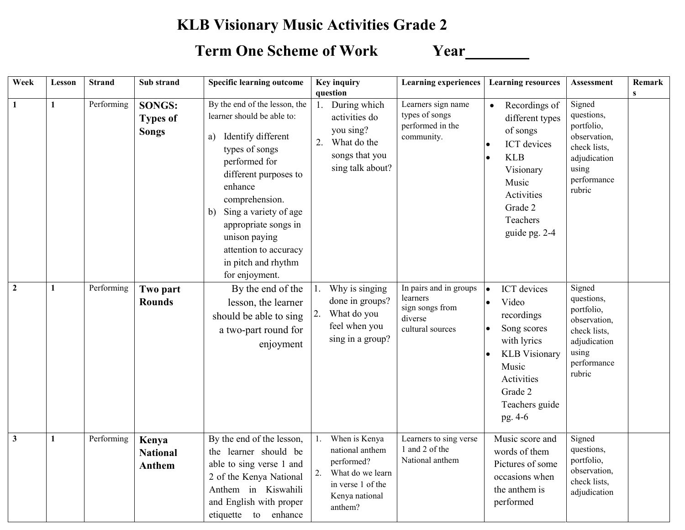## **KLB Visionary Music Activities Grade 2**

## **Term One Scheme of Work Year**

| Week                    | Lesson       | <b>Strand</b> | Sub strand                                       | <b>Specific learning outcome</b>                                                                                                                                                                                                                                                                                           |          | <b>Key inquiry</b><br>question                                                                                       | <b>Learning experiences</b>                                                          | <b>Learning resources</b>                                                                                                                                                                                   | Assessment                                                                                                           | Remark<br>$\mathbf{s}$ |
|-------------------------|--------------|---------------|--------------------------------------------------|----------------------------------------------------------------------------------------------------------------------------------------------------------------------------------------------------------------------------------------------------------------------------------------------------------------------------|----------|----------------------------------------------------------------------------------------------------------------------|--------------------------------------------------------------------------------------|-------------------------------------------------------------------------------------------------------------------------------------------------------------------------------------------------------------|----------------------------------------------------------------------------------------------------------------------|------------------------|
| $\mathbf{1}$            | $\mathbf{1}$ | Performing    | <b>SONGS:</b><br><b>Types of</b><br><b>Songs</b> | By the end of the lesson, the<br>learner should be able to:<br>Identify different<br>a)<br>types of songs<br>performed for<br>different purposes to<br>enhance<br>comprehension.<br>Sing a variety of age<br>b)<br>appropriate songs in<br>unison paying<br>attention to accuracy<br>in pitch and rhythm<br>for enjoyment. | 1.<br>2. | During which<br>activities do<br>you sing?<br>What do the<br>songs that you<br>sing talk about?                      | Learners sign name<br>types of songs<br>performed in the<br>community.               | Recordings of<br>$\bullet$<br>different types<br>of songs<br>ICT devices<br><b>KLB</b><br>$\bullet$<br>Visionary<br>Music<br>Activities<br>Grade 2<br>Teachers<br>guide pg. 2-4                             | Signed<br>questions,<br>portfolio,<br>observation,<br>check lists,<br>adjudication<br>using<br>performance<br>rubric |                        |
| $\overline{2}$          | 1            | Performing    | Two part<br><b>Rounds</b>                        | By the end of the<br>lesson, the learner<br>should be able to sing<br>a two-part round for<br>enjoyment                                                                                                                                                                                                                    | 2.       | Why is singing<br>done in groups?<br>What do you<br>feel when you<br>sing in a group?                                | In pairs and in groups<br>learners<br>sign songs from<br>diverse<br>cultural sources | ICT devices<br>$\bullet$<br>Video<br>$\bullet$<br>recordings<br>Song scores<br>$\bullet$<br>with lyrics<br><b>KLB</b> Visionary<br>$\bullet$<br>Music<br>Activities<br>Grade 2<br>Teachers guide<br>pg. 4-6 | Signed<br>questions,<br>portfolio,<br>observation,<br>check lists,<br>adjudication<br>using<br>performance<br>rubric |                        |
| $\overline{\mathbf{3}}$ | 1            | Performing    | Kenya<br><b>National</b><br>Anthem               | By the end of the lesson,<br>the learner should be<br>able to sing verse 1 and<br>2 of the Kenya National<br>Anthem in Kiswahili<br>and English with proper<br>etiquette to enhance                                                                                                                                        | 2.       | When is Kenya<br>national anthem<br>performed?<br>What do we learn<br>in verse 1 of the<br>Kenya national<br>anthem? | Learners to sing verse<br>1 and 2 of the<br>National anthem                          | Music score and<br>words of them<br>Pictures of some<br>occasions when<br>the anthem is<br>performed                                                                                                        | Signed<br>questions,<br>portfolio,<br>observation,<br>check lists,<br>adjudication                                   |                        |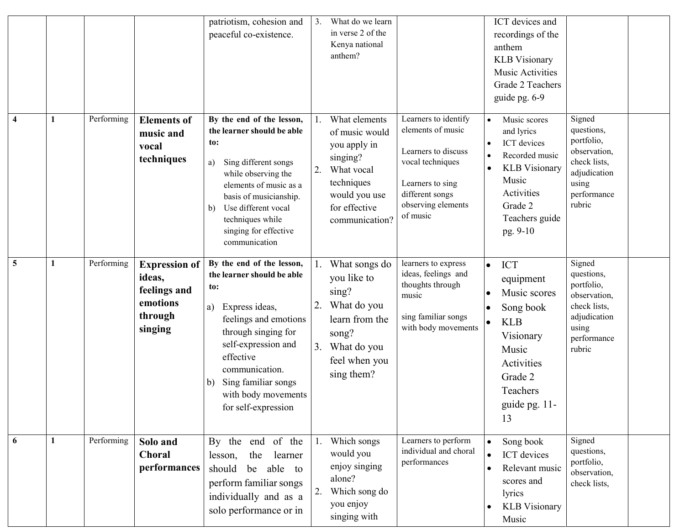|                         |   |            |                                                                                  | patriotism, cohesion and<br>peaceful co-existence.                                                                                                                                                                                                                           | 3.       | What do we learn<br>in verse 2 of the<br>Kenya national<br>anthem?                                                                          |                                                                                                                                                               |                                     | ICT devices and<br>recordings of the<br>anthem<br><b>KLB</b> Visionary<br>Music Activities<br>Grade 2 Teachers<br>guide pg. 6-9                      |                                                                                                                      |  |
|-------------------------|---|------------|----------------------------------------------------------------------------------|------------------------------------------------------------------------------------------------------------------------------------------------------------------------------------------------------------------------------------------------------------------------------|----------|---------------------------------------------------------------------------------------------------------------------------------------------|---------------------------------------------------------------------------------------------------------------------------------------------------------------|-------------------------------------|------------------------------------------------------------------------------------------------------------------------------------------------------|----------------------------------------------------------------------------------------------------------------------|--|
| $\overline{\mathbf{4}}$ | 1 | Performing | <b>Elements of</b><br>music and<br>vocal<br>techniques                           | By the end of the lesson,<br>the learner should be able<br>to:<br>Sing different songs<br>a)<br>while observing the<br>elements of music as a<br>basis of musicianship.<br>Use different vocal<br>$\mathbf{b}$<br>techniques while<br>singing for effective<br>communication | 2.       | What elements<br>of music would<br>you apply in<br>singing?<br>What vocal<br>techniques<br>would you use<br>for effective<br>communication? | Learners to identify<br>elements of music<br>Learners to discuss<br>vocal techniques<br>Learners to sing<br>different songs<br>observing elements<br>of music | $\bullet$<br>$\bullet$              | Music scores<br>and lyrics<br>ICT devices<br>Recorded music<br><b>KLB</b> Visionary<br>Music<br>Activities<br>Grade 2<br>Teachers guide<br>pg. 9-10  | Signed<br>questions,<br>portfolio,<br>observation,<br>check lists,<br>adjudication<br>using<br>performance<br>rubric |  |
| 5                       | 1 | Performing | <b>Expression of</b><br>ideas,<br>feelings and<br>emotions<br>through<br>singing | By the end of the lesson,<br>the learner should be able<br>to:<br>Express ideas,<br>a)<br>feelings and emotions<br>through singing for<br>self-expression and<br>effective<br>communication.<br>Sing familiar songs<br>b)<br>with body movements<br>for self-expression      | 2.<br>3. | What songs do<br>you like to<br>sing?<br>What do you<br>learn from the<br>song?<br>What do you<br>feel when you<br>sing them?               | learners to express<br>ideas, feelings and<br>thoughts through<br>music<br>sing familiar songs<br>with body movements                                         | $\bullet$<br>$\bullet$              | <b>ICT</b><br>equipment<br>Music scores<br>Song book<br><b>KLB</b><br>Visionary<br>Music<br>Activities<br>Grade 2<br>Teachers<br>guide pg. 11-<br>13 | Signed<br>questions,<br>portfolio,<br>observation,<br>check lists,<br>adjudication<br>using<br>performance<br>rubric |  |
| 6                       | 1 | Performing | Solo and<br><b>Choral</b><br>performances                                        | By the end of the<br>lesson,<br>the<br>learner<br>should<br>able to<br>be<br>perform familiar songs<br>individually and as a<br>solo performance or in                                                                                                                       | 2.       | Which songs<br>would you<br>enjoy singing<br>alone?<br>Which song do<br>you enjoy<br>singing with                                           | Learners to perform<br>individual and choral<br>performances                                                                                                  | $\bullet$<br>$\bullet$<br>$\bullet$ | Song book<br>ICT devices<br>Relevant music<br>scores and<br>lyrics<br><b>KLB</b> Visionary<br>Music                                                  | Signed<br>questions,<br>portfolio,<br>observation,<br>check lists,                                                   |  |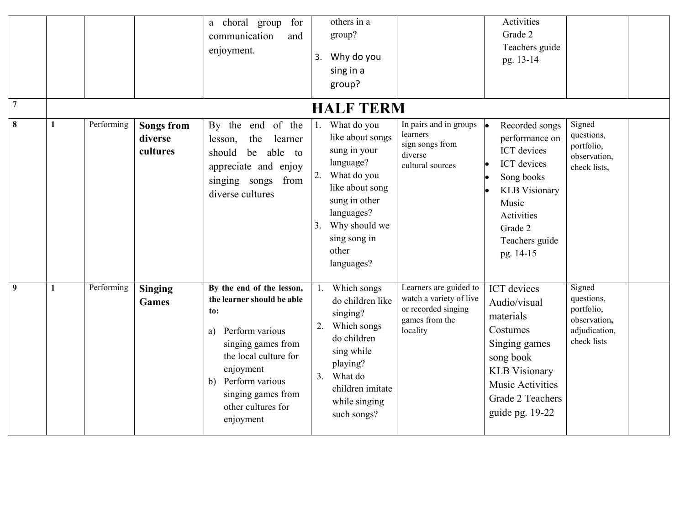|                |              |            |                                          | for<br>a choral group<br>communication<br>and<br>enjoyment.                                                                                                                                                                           | 3.             | others in a<br>group?<br>Why do you<br>sing in a<br>group?                                                                                                                            |                                                                                                        | Activities<br>Grade 2<br>Teachers guide<br>pg. 13-14                                                                                                                         |                                                                                    |  |
|----------------|--------------|------------|------------------------------------------|---------------------------------------------------------------------------------------------------------------------------------------------------------------------------------------------------------------------------------------|----------------|---------------------------------------------------------------------------------------------------------------------------------------------------------------------------------------|--------------------------------------------------------------------------------------------------------|------------------------------------------------------------------------------------------------------------------------------------------------------------------------------|------------------------------------------------------------------------------------|--|
| $\overline{7}$ |              |            |                                          |                                                                                                                                                                                                                                       |                | <b>HALF TERM</b>                                                                                                                                                                      |                                                                                                        |                                                                                                                                                                              |                                                                                    |  |
| $\bf{8}$       | 1            | Performing | <b>Songs from</b><br>diverse<br>cultures | of the<br>By the end<br>the<br>learner<br>lesson,<br>able to<br>should<br>be<br>appreciate and enjoy<br>singing songs<br>from<br>diverse cultures                                                                                     | 1.<br>2.<br>3. | What do you<br>like about songs<br>sung in your<br>language?<br>What do you<br>like about song<br>sung in other<br>languages?<br>Why should we<br>sing song in<br>other<br>languages? | In pairs and in groups<br>learners<br>sign songs from<br>diverse<br>cultural sources                   | Recorded songs<br>performance on<br>ICT devices<br><b>ICT</b> devices<br>Song books<br><b>KLB</b> Visionary<br>Music<br>Activities<br>Grade 2<br>Teachers guide<br>pg. 14-15 | Signed<br>questions,<br>portfolio,<br>observation,<br>check lists,                 |  |
| 9              | $\mathbf{1}$ | Performing | <b>Singing</b><br><b>Games</b>           | By the end of the lesson,<br>the learner should be able<br>to:<br>Perform various<br>a)<br>singing games from<br>the local culture for<br>enjoyment<br>Perform various<br>b)<br>singing games from<br>other cultures for<br>enjoyment | 2.<br>3.       | Which songs<br>do children like<br>singing?<br>Which songs<br>do children<br>sing while<br>playing?<br>What do<br>children imitate<br>while singing<br>such songs?                    | Learners are guided to<br>watch a variety of live<br>or recorded singing<br>games from the<br>locality | ICT devices<br>Audio/visual<br>materials<br>Costumes<br>Singing games<br>song book<br><b>KLB</b> Visionary<br>Music Activities<br>Grade 2 Teachers<br>guide pg. 19-22        | Signed<br>questions,<br>portfolio,<br>observation,<br>adjudication,<br>check lists |  |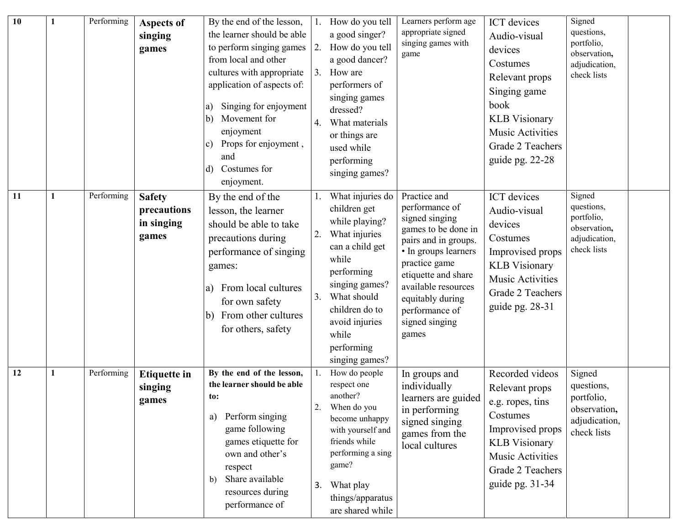| 10 |   | Performing | <b>Aspects of</b><br>singing<br>games               | By the end of the lesson,<br>the learner should be able<br>to perform singing games<br>from local and other<br>cultures with appropriate<br>application of aspects of:<br>Singing for enjoyment<br>a)<br>Movement for<br>b)<br>enjoyment<br>Props for enjoyment,<br>C)<br>and<br>Costumes for<br>d)<br>enjoyment. | 2.<br>4. | 1. How do you tell<br>a good singer?<br>How do you tell<br>a good dancer?<br>3. How are<br>performers of<br>singing games<br>dressed?<br>What materials<br>or things are<br>used while<br>performing<br>singing games?      | Learners perform age<br>appropriate signed<br>singing games with<br>game                                                                                                                                                                                | <b>ICT</b> devices<br>Audio-visual<br>devices<br>Costumes<br>Relevant props<br>Singing game<br>book<br><b>KLB</b> Visionary<br><b>Music Activities</b><br>Grade 2 Teachers<br>guide pg. 22-28 | Signed<br>questions,<br>portfolio,<br>observation,<br>adjudication,<br>check lists |  |
|----|---|------------|-----------------------------------------------------|-------------------------------------------------------------------------------------------------------------------------------------------------------------------------------------------------------------------------------------------------------------------------------------------------------------------|----------|-----------------------------------------------------------------------------------------------------------------------------------------------------------------------------------------------------------------------------|---------------------------------------------------------------------------------------------------------------------------------------------------------------------------------------------------------------------------------------------------------|-----------------------------------------------------------------------------------------------------------------------------------------------------------------------------------------------|------------------------------------------------------------------------------------|--|
| 11 | 1 | Performing | <b>Safety</b><br>precautions<br>in singing<br>games | By the end of the<br>lesson, the learner<br>should be able to take<br>precautions during<br>performance of singing<br>games:<br>From local cultures<br>a)<br>for own safety<br>From other cultures<br>b)<br>for others, safety                                                                                    | 2.<br>3. | What injuries do<br>children get<br>while playing?<br>What injuries<br>can a child get<br>while<br>performing<br>singing games?<br>What should<br>children do to<br>avoid injuries<br>while<br>performing<br>singing games? | Practice and<br>performance of<br>signed singing<br>games to be done in<br>pairs and in groups.<br>• In groups learners<br>practice game<br>etiquette and share<br>available resources<br>equitably during<br>performance of<br>signed singing<br>games | <b>ICT</b> devices<br>Audio-visual<br>devices<br>Costumes<br>Improvised props<br><b>KLB</b> Visionary<br><b>Music Activities</b><br>Grade 2 Teachers<br>guide pg. 28-31                       | Signed<br>questions,<br>portfolio,<br>observation,<br>adjudication,<br>check lists |  |
| 12 | 1 | Performing | <b>Etiquette in</b><br>singing<br>games             | By the end of the lesson,<br>the learner should be able<br>to:<br>Perform singing<br>a)<br>game following<br>games etiquette for<br>own and other's<br>respect<br>Share available<br>b)<br>resources during<br>performance of                                                                                     | 3.       | How do people<br>respect one<br>another?<br>When do you<br>become unhappy<br>with yourself and<br>friends while<br>performing a sing<br>game?<br>What play<br>things/apparatus<br>are shared while                          | In groups and<br>individually<br>learners are guided<br>in performing<br>signed singing<br>games from the<br>local cultures                                                                                                                             | Recorded videos<br>Relevant props<br>e.g. ropes, tins<br>Costumes<br>Improvised props<br><b>KLB</b> Visionary<br>Music Activities<br>Grade 2 Teachers<br>guide pg. 31-34                      | Signed<br>questions,<br>portfolio,<br>observation,<br>adjudication,<br>check lists |  |